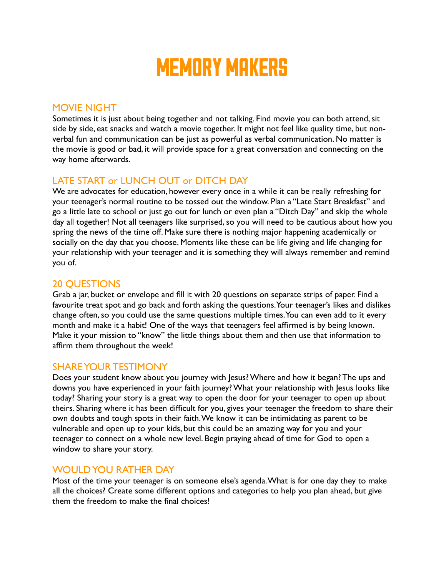# MEMORY MAKERS

## MOVIE NIGHT

Sometimes it is just about being together and not talking. Find movie you can both attend, sit side by side, eat snacks and watch a movie together. It might not feel like quality time, but nonverbal fun and communication can be just as powerful as verbal communication. No matter is the movie is good or bad, it will provide space for a great conversation and connecting on the way home afterwards.

## LATE START or LUNCH OUT or DITCH DAY

We are advocates for education, however every once in a while it can be really refreshing for your teenager's normal routine to be tossed out the window. Plan a "Late Start Breakfast" and go a little late to school or just go out for lunch or even plan a "Ditch Day" and skip the whole day all together! Not all teenagers like surprised, so you will need to be cautious about how you spring the news of the time off. Make sure there is nothing major happening academically or socially on the day that you choose. Moments like these can be life giving and life changing for your relationship with your teenager and it is something they will always remember and remind you of.

## 20 QUESTIONS

Grab a jar, bucket or envelope and fill it with 20 questions on separate strips of paper. Find a favourite treat spot and go back and forth asking the questions. Your teenager's likes and dislikes change often, so you could use the same questions multiple times. You can even add to it every month and make it a habit! One of the ways that teenagers feel affirmed is by being known. Make it your mission to "know" the little things about them and then use that information to affirm them throughout the week!

#### SHARE YOUR TESTIMONY

Does your student know about you journey with Jesus? Where and how it began? The ups and downs you have experienced in your faith journey? What your relationship with Jesus looks like today? Sharing your story is a great way to open the door for your teenager to open up about theirs. Sharing where it has been difficult for you, gives your teenager the freedom to share their own doubts and tough spots in their faith. We know it can be intimidating as parent to be vulnerable and open up to your kids, but this could be an amazing way for you and your teenager to connect on a whole new level. Begin praying ahead of time for God to open a window to share your story.

#### WOULD YOU RATHER DAY

Most of the time your teenager is on someone else's agenda. What is for one day they to make all the choices? Create some different options and categories to help you plan ahead, but give them the freedom to make the final choices!